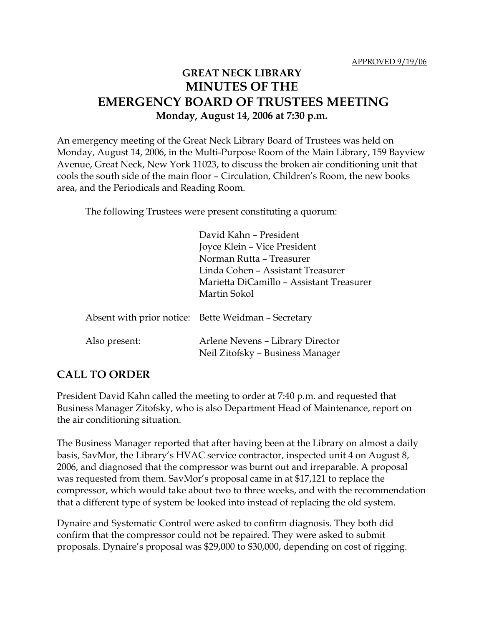## **GREAT NECK LIBRARY MINUTES OF THE EMERGENCY BOARD OF TRUSTEES MEETING Monday, August 14, 2006 at 7:30 p.m.**

An emergency meeting of the Great Neck Library Board of Trustees was held on Monday, August 14, 2006, in the Multi-Purpose Room of the Main Library, 159 Bayview Avenue, Great Neck, New York 11023, to discuss the broken air conditioning unit that cools the south side of the main floor – Circulation, Children's Room, the new books area, and the Periodicals and Reading Room.

The following Trustees were present constituting a quorum:

| David Kahn - President                              |
|-----------------------------------------------------|
| Joyce Klein – Vice President                        |
| Norman Rutta - Treasurer                            |
| Linda Cohen - Assistant Treasurer                   |
| Marietta DiCamillo - Assistant Treasurer            |
| Martin Sokol                                        |
|                                                     |
| Absent with prior notice: Bette Weidman – Secretary |
|                                                     |
| Arlene Nevens - Library Director                    |
| Neil Zitofsky - Business Manager                    |
|                                                     |

## **CALL TO ORDER**

President David Kahn called the meeting to order at 7:40 p.m. and requested that Business Manager Zitofsky, who is also Department Head of Maintenance, report on the air conditioning situation.

The Business Manager reported that after having been at the Library on almost a daily basis, SavMor, the Library's HVAC service contractor, inspected unit 4 on August 8, 2006, and diagnosed that the compressor was burnt out and irreparable. A proposal was requested from them. SavMor's proposal came in at \$17,121 to replace the compressor, which would take about two to three weeks, and with the recommendation that a different type of system be looked into instead of replacing the old system.

Dynaire and Systematic Control were asked to confirm diagnosis. They both did confirm that the compressor could not be repaired. They were asked to submit proposals. Dynaire's proposal was \$29,000 to \$30,000, depending on cost of rigging.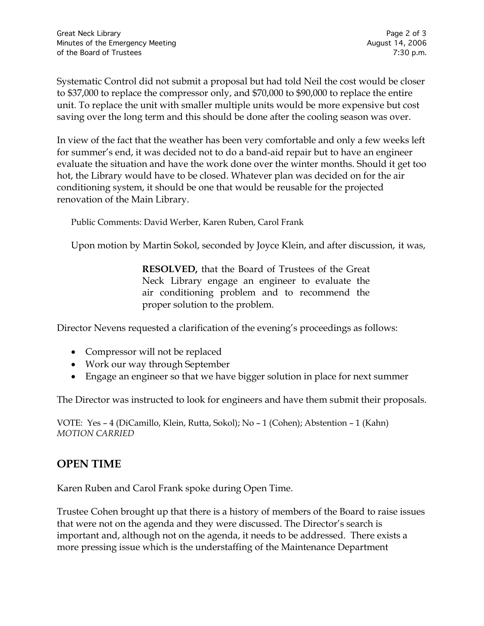Systematic Control did not submit a proposal but had told Neil the cost would be closer to \$37,000 to replace the compressor only, and \$70,000 to \$90,000 to replace the entire unit. To replace the unit with smaller multiple units would be more expensive but cost saving over the long term and this should be done after the cooling season was over.

In view of the fact that the weather has been very comfortable and only a few weeks left for summer's end, it was decided not to do a band-aid repair but to have an engineer evaluate the situation and have the work done over the winter months. Should it get too hot, the Library would have to be closed. Whatever plan was decided on for the air conditioning system, it should be one that would be reusable for the projected renovation of the Main Library.

Public Comments: David Werber, Karen Ruben, Carol Frank

Upon motion by Martin Sokol, seconded by Joyce Klein, and after discussion, it was,

**RESOLVED,** that the Board of Trustees of the Great Neck Library engage an engineer to evaluate the air conditioning problem and to recommend the proper solution to the problem.

Director Nevens requested a clarification of the evening's proceedings as follows:

- Compressor will not be replaced
- Work our way through September
- Engage an engineer so that we have bigger solution in place for next summer

The Director was instructed to look for engineers and have them submit their proposals.

VOTE:Yes – 4 (DiCamillo, Klein, Rutta, Sokol); No – 1 (Cohen); Abstention – 1 (Kahn) *MOTION CARRIED* 

## **OPEN TIME**

Karen Ruben and Carol Frank spoke during Open Time.

Trustee Cohen brought up that there is a history of members of the Board to raise issues that were not on the agenda and they were discussed. The Director's search is important and, although not on the agenda, it needs to be addressed. There exists a more pressing issue which is the understaffing of the Maintenance Department